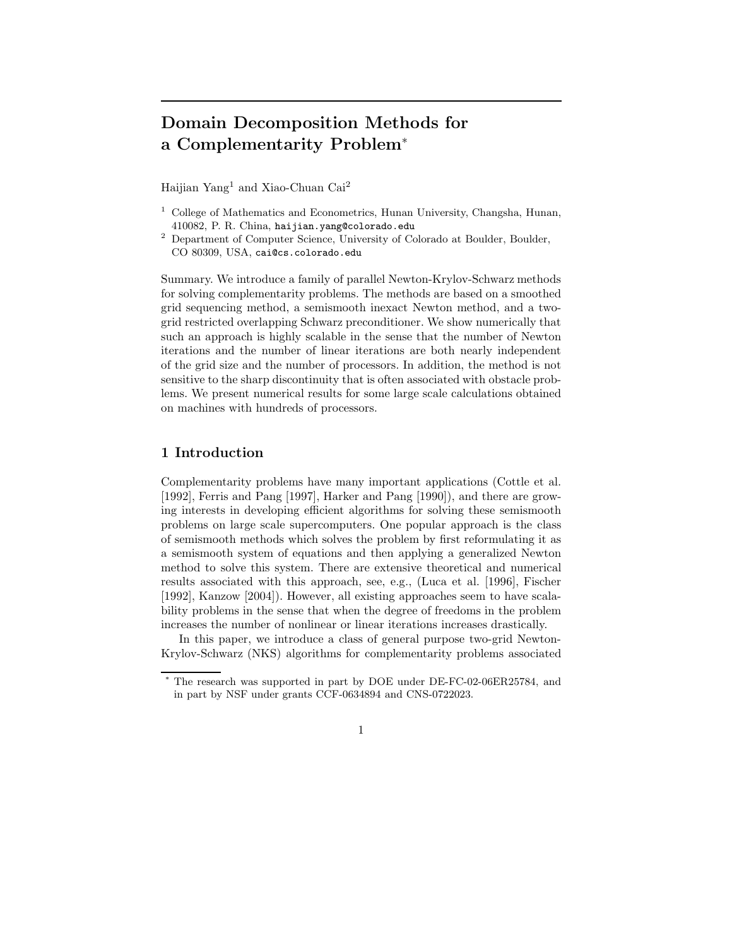# Domain Decomposition Methods for a Complementarity Problem<sup>∗</sup>

Haijian Yang<sup>1</sup> and Xiao-Chuan Cai<sup>2</sup>

- $1$  College of Mathematics and Econometrics, Hunan University, Changsha, Hunan, 410082, P. R. China, haijian.yang@colorado.edu
- <sup>2</sup> Department of Computer Science, University of Colorado at Boulder, Boulder, CO 80309, USA, cai@cs.colorado.edu

Summary. We introduce a family of parallel Newton-Krylov-Schwarz methods for solving complementarity problems. The methods are based on a smoothed grid sequencing method, a semismooth inexact Newton method, and a twogrid restricted overlapping Schwarz preconditioner. We show numerically that such an approach is highly scalable in the sense that the number of Newton iterations and the number of linear iterations are both nearly independent of the grid size and the number of processors. In addition, the method is not sensitive to the sharp discontinuity that is often associated with obstacle problems. We present numerical results for some large scale calculations obtained on machines with hundreds of processors.

## 1 Introduction

Complementarity problems have many important applications (Cottle et al. [1992], Ferris and Pang [1997], Harker and Pang [1990]), and there are growing interests in developing efficient algorithms for solving these semismooth problems on large scale supercomputers. One popular approach is the class of semismooth methods which solves the problem by first reformulating it as a semismooth system of equations and then applying a generalized Newton method to solve this system. There are extensive theoretical and numerical results associated with this approach, see, e.g., (Luca et al. [1996], Fischer [1992], Kanzow [2004]). However, all existing approaches seem to have scalability problems in the sense that when the degree of freedoms in the problem increases the number of nonlinear or linear iterations increases drastically.

In this paper, we introduce a class of general purpose two-grid Newton-Krylov-Schwarz (NKS) algorithms for complementarity problems associated

The research was supported in part by DOE under DE-FC-02-06ER25784, and in part by NSF under grants CCF-0634894 and CNS-0722023.

<sup>1</sup>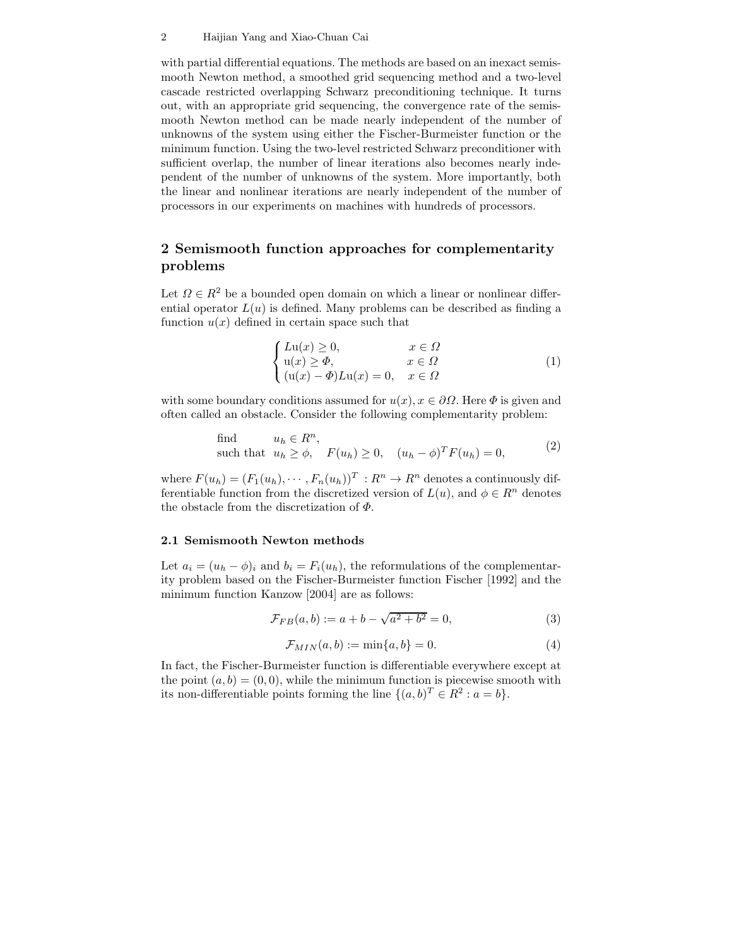### 2 Haijian Yang and Xiao-Chuan Cai

with partial differential equations. The methods are based on an inexact semismooth Newton method, a smoothed grid sequencing method and a two-level cascade restricted overlapping Schwarz preconditioning technique. It turns out, with an appropriate grid sequencing, the convergence rate of the semismooth Newton method can be made nearly independent of the number of unknowns of the system using either the Fischer-Burmeister function or the minimum function. Using the two-level restricted Schwarz preconditioner with sufficient overlap, the number of linear iterations also becomes nearly independent of the number of unknowns of the system. More importantly, both the linear and nonlinear iterations are nearly independent of the number of processors in our experiments on machines with hundreds of processors.

# 2 Semismooth function approaches for complementarity problems

Let  $\Omega \in \mathbb{R}^2$  be a bounded open domain on which a linear or nonlinear differential operator  $L(u)$  is defined. Many problems can be described as finding a function  $u(x)$  defined in certain space such that

$$
\begin{cases}\nL\mathbf{u}(x) \ge 0, & x \in \Omega \\
\mathbf{u}(x) \ge \Phi, & x \in \Omega \\
(\mathbf{u}(x) - \Phi)L\mathbf{u}(x) = 0, & x \in \Omega\n\end{cases}
$$
\n(1)

with some boundary conditions assumed for  $u(x)$ ,  $x \in \partial\Omega$ . Here  $\Phi$  is given and often called an obstacle. Consider the following complementarity problem:

find 
$$
u_h \in R^n
$$
,  
such that  $u_h \ge \phi$ ,  $F(u_h) \ge 0$ ,  $(u_h - \phi)^T F(u_h) = 0$ , (2)

where  $F(u_h) = (F_1(u_h), \dots, F_n(u_h))^T : R^n \to R^n$  denotes a continuously differentiable function from the discretized version of  $L(u)$ , and  $\phi \in \mathbb{R}^n$  denotes the obstacle from the discretization of  $\Phi$ .

### 2.1 Semismooth Newton methods

Let  $a_i = (u_h - \phi)_i$  and  $b_i = F_i(u_h)$ , the reformulations of the complementarity problem based on the Fischer-Burmeister function Fischer [1992] and the minimum function Kanzow [2004] are as follows:

$$
\mathcal{F}_{FB}(a, b) := a + b - \sqrt{a^2 + b^2} = 0,
$$
\n(3)

$$
\mathcal{F}_{MIN}(a,b) := \min\{a,b\} = 0. \tag{4}
$$

In fact, the Fischer-Burmeister function is differentiable everywhere except at the point  $(a, b) = (0, 0)$ , while the minimum function is piecewise smooth with its non-differentiable points forming the line  $\{(a, b)^T \in R^2 : a = b\}.$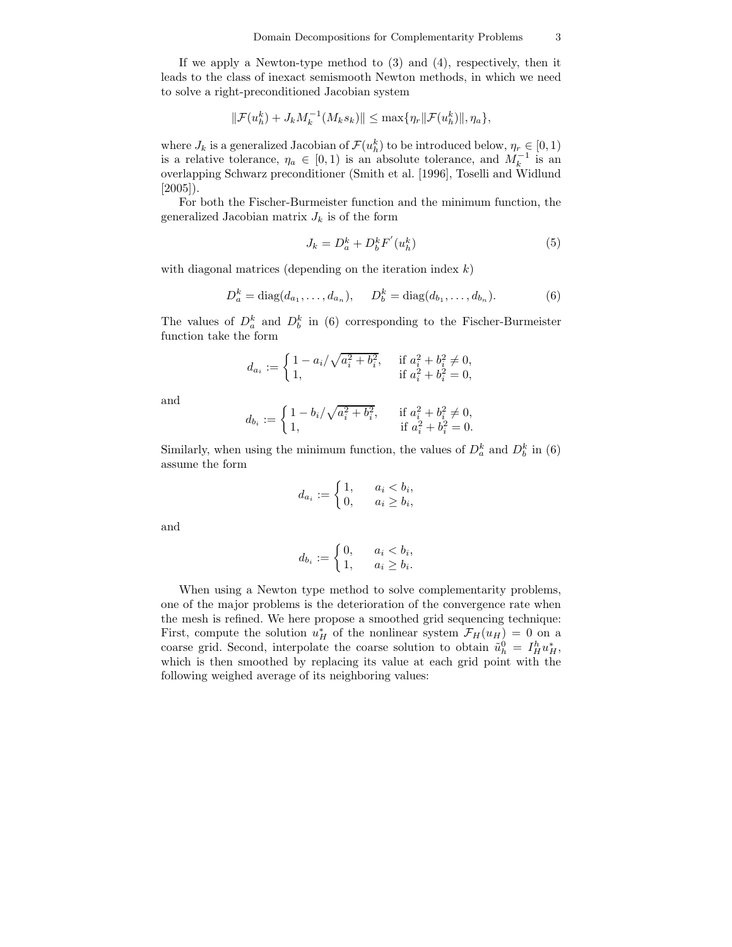If we apply a Newton-type method to (3) and (4), respectively, then it leads to the class of inexact semismooth Newton methods, in which we need to solve a right-preconditioned Jacobian system

$$
\|\mathcal{F}(u_h^k) + J_k M_k^{-1}(M_k s_k)\| \leq \max\{\eta_r \|\mathcal{F}(u_h^k)\|, \eta_a\},\
$$

where  $J_k$  is a generalized Jacobian of  $\mathcal{F}(u_h^k)$  to be introduced below,  $\eta_r \in [0, 1)$ is a relative tolerance,  $\eta_a \in [0,1)$  is an absolute tolerance, and  $M_k^{-1}$  is an overlapping Schwarz preconditioner (Smith et al. [1996], Toselli and Widlund [2005]).

For both the Fischer-Burmeister function and the minimum function, the generalized Jacobian matrix  $J_k$  is of the form

$$
J_k = D_a^k + D_b^k F'(u_h^k)
$$
\n<sup>(5)</sup>

with diagonal matrices (depending on the iteration index  $k$ )

$$
D_a^k = \text{diag}(d_{a_1}, \dots, d_{a_n}), \quad D_b^k = \text{diag}(d_{b_1}, \dots, d_{b_n}).
$$
 (6)

The values of  $D_a^k$  and  $D_b^k$  in (6) corresponding to the Fischer-Burmeister function take the form

$$
d_{a_i} := \begin{cases} 1 - a_i/\sqrt{a_i^2 + b_i^2}, & \text{if } a_i^2 + b_i^2 \neq 0, \\ 1, & \text{if } a_i^2 + b_i^2 = 0, \end{cases}
$$

and

$$
d_{b_i} := \begin{cases} 1 - \frac{b_i}{\sqrt{a_i^2 + b_i^2}}, & \text{if } a_i^2 + b_i^2 \neq 0, \\ 1, & \text{if } a_i^2 + b_i^2 = 0. \end{cases}
$$

Similarly, when using the minimum function, the values of  $D_a^k$  and  $D_b^k$  in (6) assume the form

$$
d_{a_i} := \begin{cases} 1, & a_i < b_i, \\ 0, & a_i \ge b_i, \end{cases}
$$

and

$$
d_{b_i} := \begin{cases} 0, & a_i < b_i, \\ 1, & a_i \ge b_i. \end{cases}
$$

When using a Newton type method to solve complementarity problems, one of the major problems is the deterioration of the convergence rate when the mesh is refined. We here propose a smoothed grid sequencing technique: First, compute the solution  $u_H^*$  of the nonlinear system  $\mathcal{F}_H(u_H) = 0$  on a coarse grid. Second, interpolate the coarse solution to obtain  $\tilde{u}_h^0 = I_H^h u_H^*$ , which is then smoothed by replacing its value at each grid point with the following weighed average of its neighboring values: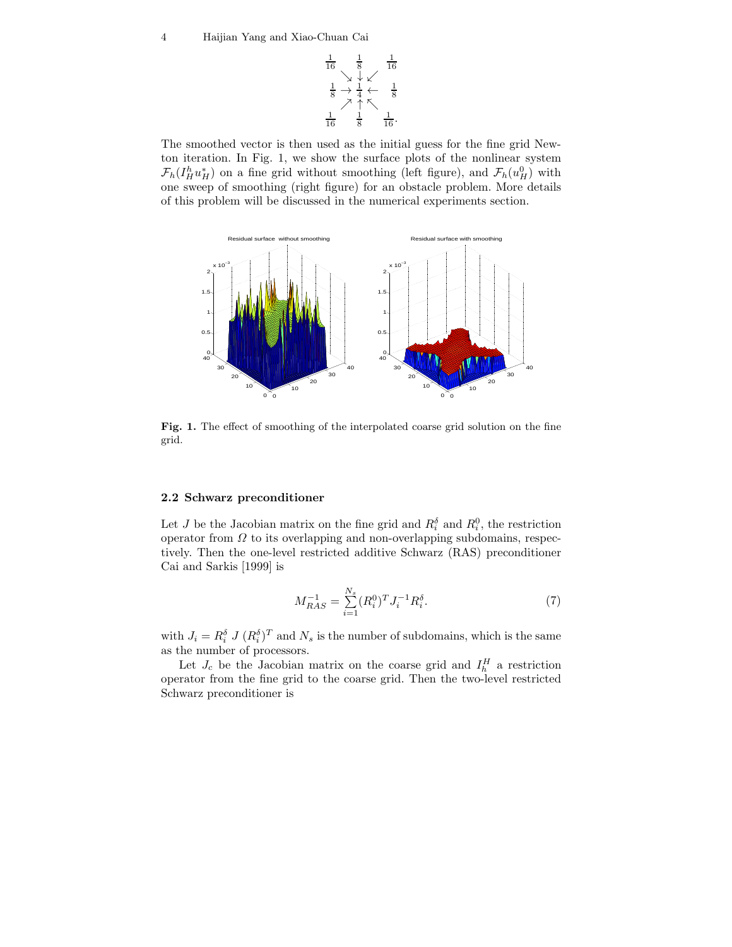

The smoothed vector is then used as the initial guess for the fine grid Newton iteration. In Fig. 1, we show the surface plots of the nonlinear system  $\mathcal{F}_h(I_H^h u_H^*)$  on a fine grid without smoothing (left figure), and  $\mathcal{F}_h(u_H^0)$  with one sweep of smoothing (right figure) for an obstacle problem. More details of this problem will be discussed in the numerical experiments section.



Fig. 1. The effect of smoothing of the interpolated coarse grid solution on the fine grid.

### 2.2 Schwarz preconditioner

Let J be the Jacobian matrix on the fine grid and  $R_i^{\delta}$  and  $R_i^0$ , the restriction operator from  $\Omega$  to its overlapping and non-overlapping subdomains, respectively. Then the one-level restricted additive Schwarz (RAS) preconditioner Cai and Sarkis [1999] is

$$
M_{RAS}^{-1} = \sum_{i=1}^{N_s} (R_i^0)^T J_i^{-1} R_i^{\delta}.
$$
 (7)

with  $J_i = R_i^{\delta} J (R_i^{\delta})^T$  and  $N_s$  is the number of subdomains, which is the same as the number of processors.

Let  $J_c$  be the Jacobian matrix on the coarse grid and  $I_h^H$  a restriction operator from the fine grid to the coarse grid. Then the two-level restricted Schwarz preconditioner is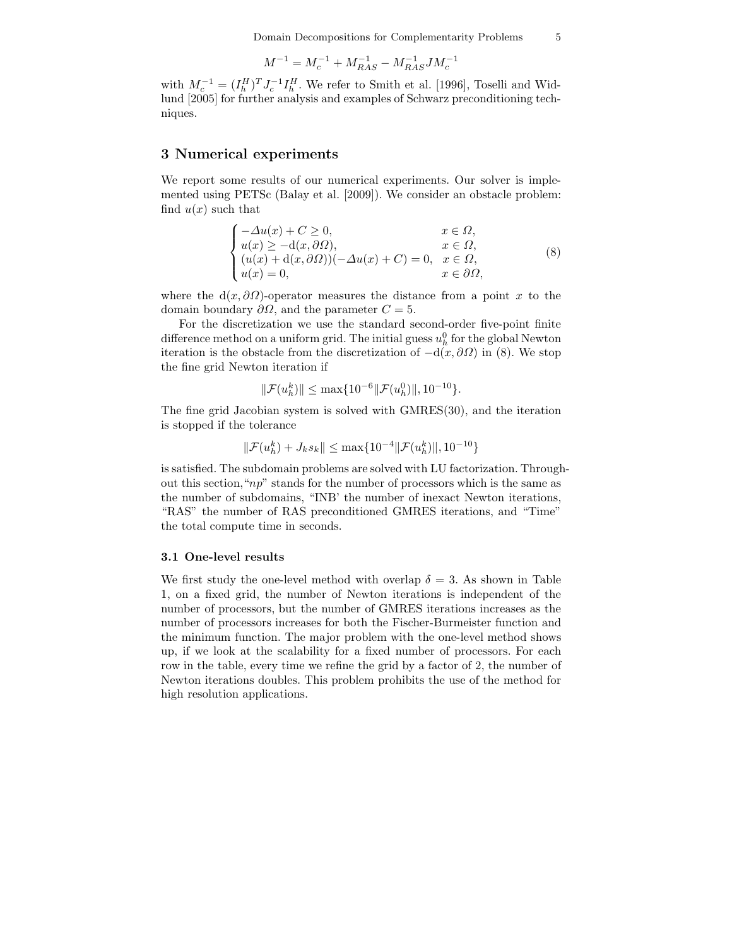$$
M^{-1} = M_c^{-1} + M_{RAS}^{-1} - M_{RAS}^{-1} J M_c^{-1} \label{eq:mass}
$$

with  $M_c^{-1} = (I_h^H)^T J_c^{-1} I_h^H$ . We refer to Smith et al. [1996], Toselli and Widlund [2005] for further analysis and examples of Schwarz preconditioning techniques.

### 3 Numerical experiments

We report some results of our numerical experiments. Our solver is implemented using PETSc (Balay et al. [2009]). We consider an obstacle problem: find  $u(x)$  such that

$$
\begin{cases}\n-\Delta u(x) + C \ge 0, & x \in \Omega, \\
u(x) \ge -d(x, \partial \Omega), & x \in \Omega, \\
(u(x) + d(x, \partial \Omega))(-\Delta u(x) + C) = 0, & x \in \Omega, \\
u(x) = 0, & x \in \partial \Omega,\n\end{cases}
$$
\n(8)

where the  $d(x, \partial \Omega)$ -operator measures the distance from a point x to the domain boundary  $\partial\Omega$ , and the parameter  $C = 5$ .

For the discretization we use the standard second-order five-point finite difference method on a uniform grid. The initial guess  $u_h^0$  for the global Newton iteration is the obstacle from the discretization of  $-d(x, \partial\Omega)$  in (8). We stop the fine grid Newton iteration if

$$
\|\mathcal{F}(u_h^k)\| \le \max\{10^{-6}\|\mathcal{F}(u_h^0)\|, 10^{-10}\}.
$$

The fine grid Jacobian system is solved with GMRES(30), and the iteration is stopped if the tolerance

$$
\|\mathcal{F}(u_h^k)+J_ks_k\|\leq \max\{10^{-4}\|\mathcal{F}(u_h^k)\|,10^{-10}\}
$$

is satisfied. The subdomain problems are solved with LU factorization. Throughout this section, " $np$ " stands for the number of processors which is the same as the number of subdomains, "INB' the number of inexact Newton iterations, "RAS" the number of RAS preconditioned GMRES iterations, and "Time" the total compute time in seconds.

### 3.1 One-level results

We first study the one-level method with overlap  $\delta = 3$ . As shown in Table 1, on a fixed grid, the number of Newton iterations is independent of the number of processors, but the number of GMRES iterations increases as the number of processors increases for both the Fischer-Burmeister function and the minimum function. The major problem with the one-level method shows up, if we look at the scalability for a fixed number of processors. For each row in the table, every time we refine the grid by a factor of 2, the number of Newton iterations doubles. This problem prohibits the use of the method for high resolution applications.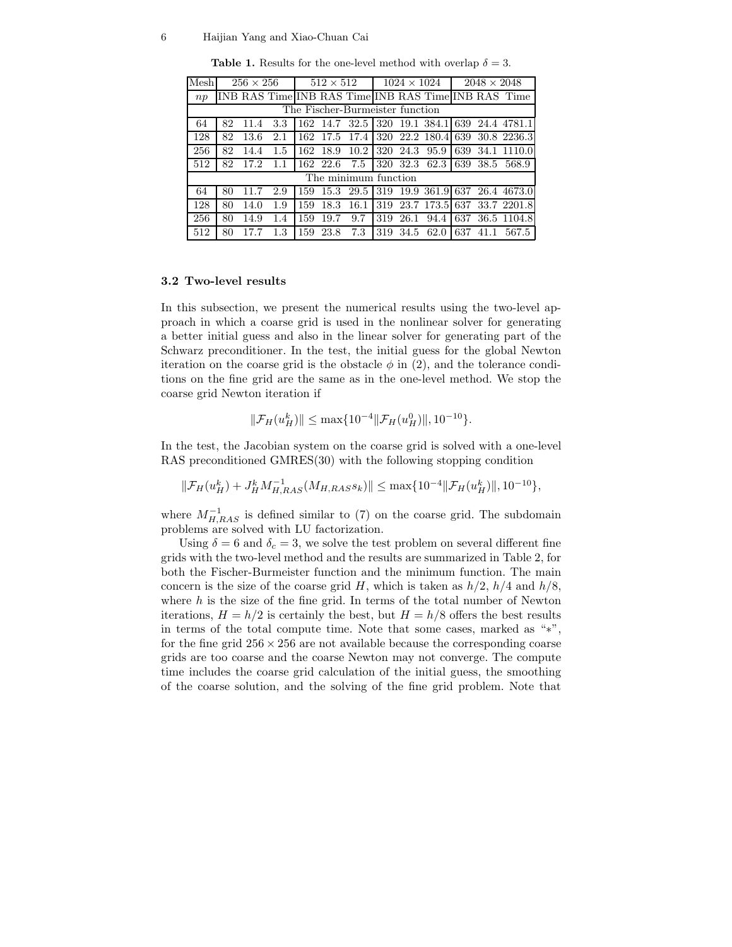#### 6 Haijian Yang and Xiao-Chuan Cai

| Mesh                            | $256 \times 256$ |      |     | $512 \times 512$ |               |      |     | $1024 \times 1024$ |                              | $2048 \times 2048$ |  |                                                     |  |
|---------------------------------|------------------|------|-----|------------------|---------------|------|-----|--------------------|------------------------------|--------------------|--|-----------------------------------------------------|--|
| np                              |                  |      |     |                  |               |      |     |                    |                              |                    |  | INB RAS Time INB RAS Time INB RAS Time INB RAS Time |  |
| The Fischer-Burmeister function |                  |      |     |                  |               |      |     |                    |                              |                    |  |                                                     |  |
| 64                              | 82               | 11.4 | 3.3 |                  | 162 14.7 32.5 |      |     |                    |                              |                    |  | 1320 19.1 384.1 639 24.4 4781.1                     |  |
| 128                             | 82               | 13.6 | 2.1 |                  |               |      |     |                    | 162 17.5 17.4 320 22.2 180.4 | 639                |  | 30.8 2236.3                                         |  |
| 256                             | 82               | 14.4 | 1.5 | 162              | 18.9          | 10.2 |     | 320 24.3           | 95.9                         | 639                |  | 34.1 1110.0                                         |  |
| 512                             | 82               | 17.2 | 1.1 |                  | 162 22.6      | 7.5  |     |                    |                              |                    |  | 320 32.3 62.3 639 38.5 568.9                        |  |
| The minimum function            |                  |      |     |                  |               |      |     |                    |                              |                    |  |                                                     |  |
| 64                              | 80               | 117  | 2.9 | 159              | 15.3          | 29.5 |     |                    |                              |                    |  | 319 19.9 361.9 637 26.4 4673.0                      |  |
| 128                             | 80               | 14.0 | 1.9 | 159              | 18.3          | 16.1 |     |                    | 319 23.7 173.5 637           |                    |  | 33.7 2201.8                                         |  |
| 256                             | 80               | 14.9 | 1.4 | 159              | 19.7          | 9.7  | 319 | 26.1               | 94.4                         | 637                |  | 36.5 1104.8                                         |  |
| 512                             | 80               |      | 1.3 | 159              | 23.8          | 7.3  | 319 | 34.5               | 62.0                         | 637                |  | 567.5                                               |  |

**Table 1.** Results for the one-level method with overlap  $\delta = 3$ .

#### 3.2 Two-level results

In this subsection, we present the numerical results using the two-level approach in which a coarse grid is used in the nonlinear solver for generating a better initial guess and also in the linear solver for generating part of the Schwarz preconditioner. In the test, the initial guess for the global Newton iteration on the coarse grid is the obstacle  $\phi$  in (2), and the tolerance conditions on the fine grid are the same as in the one-level method. We stop the coarse grid Newton iteration if

$$
\|\mathcal{F}_H(u_H^k)\| \le \max\{10^{-4}\|\mathcal{F}_H(u_H^0)\|, 10^{-10}\}.
$$

In the test, the Jacobian system on the coarse grid is solved with a one-level RAS preconditioned GMRES(30) with the following stopping condition

 $\label{eq:3} \|\mathcal F_H(u_H^k) + J_H^k M_{H,RAS}^{-1}(M_{H,RASSk}) \| \leq \max\{ 10^{-4} \|\mathcal F_H(u_H^k)\|, 10^{-10}\},$ 

where  $M_{H,RAS}^{-1}$  is defined similar to (7) on the coarse grid. The subdomain problems are solved with LU factorization.

Using  $\delta = 6$  and  $\delta_c = 3$ , we solve the test problem on several different fine grids with the two-level method and the results are summarized in Table 2, for both the Fischer-Burmeister function and the minimum function. The main concern is the size of the coarse grid H, which is taken as  $h/2$ ,  $h/4$  and  $h/8$ , where  $h$  is the size of the fine grid. In terms of the total number of Newton iterations,  $H = h/2$  is certainly the best, but  $H = h/8$  offers the best results in terms of the total compute time. Note that some cases, marked as "∗", for the fine grid  $256 \times 256$  are not available because the corresponding coarse grids are too coarse and the coarse Newton may not converge. The compute time includes the coarse grid calculation of the initial guess, the smoothing of the coarse solution, and the solving of the fine grid problem. Note that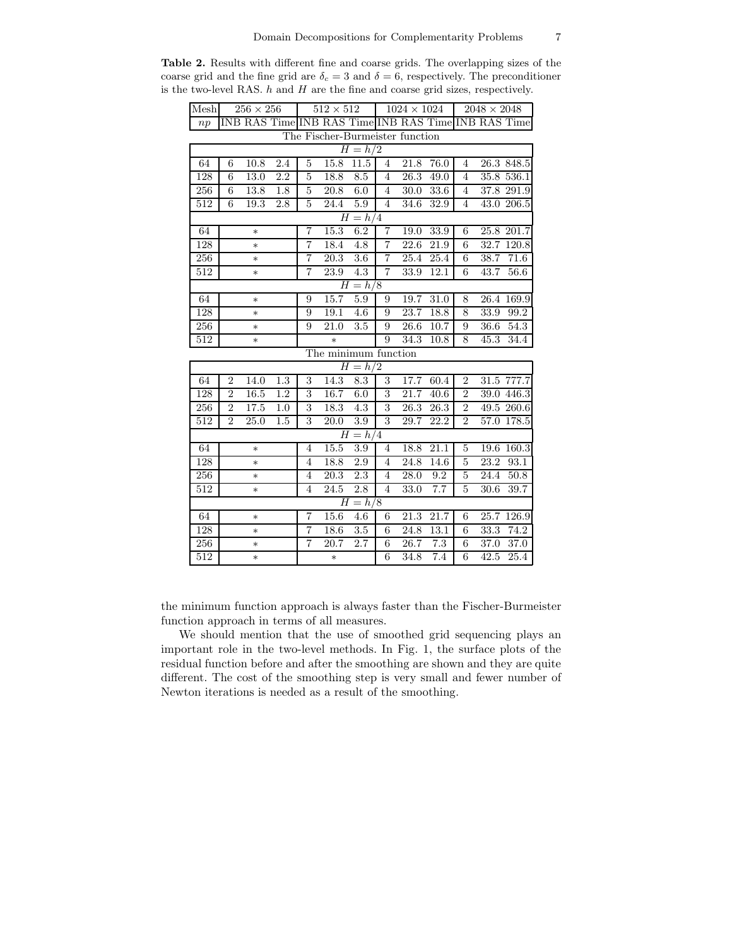| Mesh                            | $256 \times 256$ |                                                     |                  | $512 \times 512$ |                   |                  | $1024 \times 1024$      |                   |                   | $\overline{2048\times2048}$ |      |                   |
|---------------------------------|------------------|-----------------------------------------------------|------------------|------------------|-------------------|------------------|-------------------------|-------------------|-------------------|-----------------------------|------|-------------------|
| np                              |                  | INB RAS Time INB RAS Time INB RAS Time INB RAS Time |                  |                  |                   |                  |                         |                   |                   |                             |      |                   |
| The Fischer-Burmeister function |                  |                                                     |                  |                  |                   |                  |                         |                   |                   |                             |      |                   |
| $H = h/2$                       |                  |                                                     |                  |                  |                   |                  |                         |                   |                   |                             |      |                   |
| 64                              | 6                | 10.8                                                | $2.4\,$          | 5                | 15.8              | 11.5             | $\overline{4}$          | 21.8              | 76.0              | $\overline{4}$              |      | 26.3 848.5        |
| 128                             | 6                | 13.0                                                | 2.2              | $\overline{5}$   | 18.8              | 8.5              | $\overline{4}$          | 26.3              | 49.0              | $\overline{4}$              |      | 35.8 536.1        |
| 256                             | 6                | 13.8                                                | 1.8              | $\overline{5}$   | 20.8              | 6.0              | $\overline{4}$          | 30.0              | 33.6              | $\overline{4}$              |      | $37.8$ 291.9      |
| 512                             | 6                | 19.3                                                | $2.8\,$          | 5                | 24.4              | 5.9              | $\overline{4}$          | 34.6              | 32.9              | $\overline{4}$              |      | 43.0 206.5        |
| $H = h/4$                       |                  |                                                     |                  |                  |                   |                  |                         |                   |                   |                             |      |                   |
| 64                              |                  | $\ast$                                              |                  | 7                | 15.3              | 6.2              | 7                       | 19.0              | 33.9              | $\overline{6}$              |      | 25.8 201.7        |
| 128                             | $\ast$           |                                                     |                  | $\overline{7}$   | 18.4              | 4.8              | $\overline{7}$          | $\overline{22.6}$ | 21.9              | $\overline{6}$              |      | 32.7 120.8        |
| 256                             | $\ast$           |                                                     |                  | $\overline{7}$   | 20.3              | 3.6              | $\overline{\mathbf{7}}$ | 25.4              | 25.4              | $\overline{6}$              | 38.7 | 71.6              |
| 512                             |                  | $\ast$                                              |                  | $\overline{7}$   | 23.9              | 4.3              | $\overline{7}$          | 33.9              | 12.1              | 6                           | 43.7 | 56.6              |
| $H = h/8$                       |                  |                                                     |                  |                  |                   |                  |                         |                   |                   |                             |      |                   |
| 64                              |                  | $\ast$                                              |                  | 9                | 15.7              | 5.9              | 9                       | 19.7              | 31.0              | 8                           |      | 26.4 169.9        |
| 128                             |                  | $\ast$                                              |                  | 9                | 19.1              | 4.6              | 9                       | 23.7              | 18.8              | 8                           | 33.9 | 99.2              |
| 256                             |                  | $\ast$                                              |                  | 9                | 21.0              | 3.5              | 9                       | 26.6              | 10.7              | $\boldsymbol{9}$            | 36.6 | 54.3              |
| 512                             |                  | $\ast$                                              |                  |                  | $\ast$            |                  | 9                       | 34.3              | $10.\overline{8}$ | 8                           | 45.3 | 34.4              |
| The minimum function            |                  |                                                     |                  |                  |                   |                  |                         |                   |                   |                             |      |                   |
|                                 |                  |                                                     |                  |                  |                   | $H = h/2$        |                         |                   |                   |                             |      |                   |
| 64                              | $\overline{2}$   | 14.0                                                | 1.3              | $\overline{3}$   | 14.3              | 8.3              | $\overline{3}$          | 17.7              | 60.4              | $\overline{2}$              |      | 31.5 777.7        |
| 128                             | $\overline{2}$   | 16.5                                                | $\overline{1.2}$ | $\overline{3}$   | 16.7              | 6.0              | $\overline{3}$          | 21.7              | 40.6              | $\overline{2}$              |      | $39.0$ 446.3      |
| 256                             | $\overline{2}$   | 17.5                                                | 1.0              | 3                | 18.3              | $\overline{4.3}$ | 3                       | 26.3              | $\overline{26.3}$ | $\overline{2}$              |      | 49.5 260.6        |
| 512                             | $\overline{2}$   | 25.0                                                | 1.5              | 3                | 20.0              | 3.9              | 3                       | 29.7              | 22.2              | $\overline{2}$              |      | 57.0 178.5        |
|                                 |                  |                                                     |                  |                  |                   | $H = h/4$        |                         |                   |                   |                             |      |                   |
| 64                              |                  | $\ast$                                              |                  | $\overline{4}$   | 15.5              | 3.9              | $\overline{4}$          | 18.8              | 21.1              | 5                           | 19.6 | 160.3             |
| 128                             |                  | $\ast$                                              |                  | $\overline{4}$   | 18.8              | 2.9              | $\overline{4}$          | 24.8              | 14.6              | $\overline{5}$              | 23.2 | 93.1              |
| 256                             |                  | $\ast$                                              |                  | $\overline{4}$   | $\overline{20.3}$ | 2.3              | $\overline{4}$          | 28.0              | 9.2               | $\overline{5}$              | 24.4 | 50.8              |
| 512                             |                  | $\ast$                                              |                  | $\overline{4}$   | 24.5              | 2.8              | $\overline{4}$          | 33.0              | 7.7               | 5                           | 30.6 | $\overline{39.7}$ |
| $H = h/8$                       |                  |                                                     |                  |                  |                   |                  |                         |                   |                   |                             |      |                   |
| 64                              |                  | $\ast$                                              |                  | $\overline{7}$   | 15.6              | $\overline{4.6}$ | 6                       | 21.3              | 21.7              | $\,6$                       | 25.7 | 126.9             |
| 128                             |                  | $\ast$                                              |                  | 7                | 18.6              | 3.5              | $\overline{6}$          | 24.8              | 13.1              | $\overline{6}$              | 33.3 | 74.2              |
| 256                             |                  | $\ast$                                              |                  | $\overline{7}$   | 20.7              | $\overline{2.7}$ | 6                       | 26.7              | $7.\overline{3}$  | $\boldsymbol{6}$            | 37.0 | 37.0              |
| 512                             |                  | $\ast$                                              |                  |                  | $\ast$            |                  | 6                       | 34.8              | 7.4               | $\overline{6}$              | 42.5 | 25.4              |

Table 2. Results with different fine and coarse grids. The overlapping sizes of the coarse grid and the fine grid are  $\delta_c = 3$  and  $\delta = 6$ , respectively. The preconditioner is the two-level RAS.  $h$  and  $H$  are the fine and coarse grid sizes, respectively.

the minimum function approach is always faster than the Fischer-Burmeister function approach in terms of all measures.

We should mention that the use of smoothed grid sequencing plays an important role in the two-level methods. In Fig. 1, the surface plots of the residual function before and after the smoothing are shown and they are quite different. The cost of the smoothing step is very small and fewer number of Newton iterations is needed as a result of the smoothing.